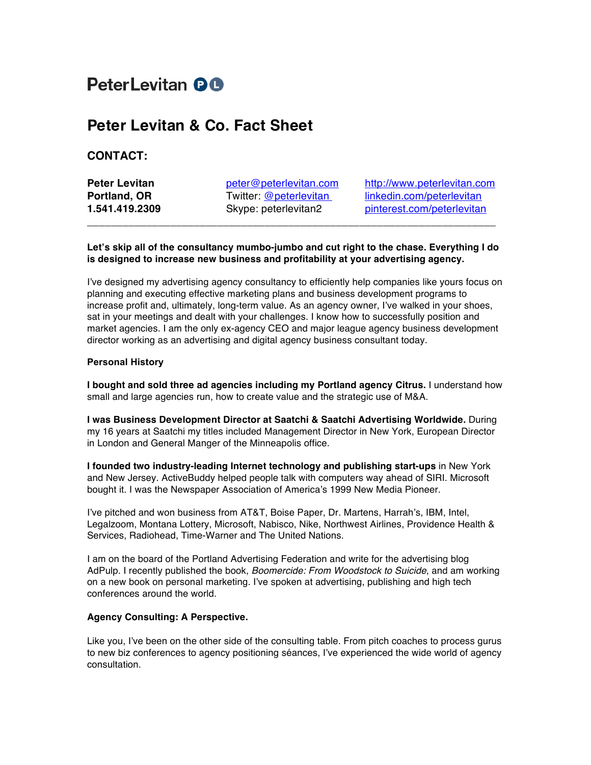# PeterLevitan **QO**

## **Peter Levitan & Co. Fact Sheet**

### **CONTACT:**

**Peter Levitan peter@peterlevitan.com** http://www.peterlevitan.com **Portland, OR** Twitter: @peterlevitan linkedin.com/peterlevitan **1.541.419.2309** Skype: peterlevitan2 pinterest.com/peterlevitan

#### **Let's skip all of the consultancy mumbo-jumbo and cut right to the chase. Everything I do is designed to increase new business and profitability at your advertising agency.**

**\_\_\_\_\_\_\_\_\_\_\_\_\_\_\_\_\_\_\_\_\_\_\_\_\_\_\_\_\_\_\_\_\_\_\_\_\_\_\_\_\_\_\_\_\_\_\_\_\_\_\_\_\_\_\_\_\_\_\_\_\_\_\_\_\_\_\_\_\_**

I've designed my advertising agency consultancy to efficiently help companies like yours focus on planning and executing effective marketing plans and business development programs to increase profit and, ultimately, long-term value. As an agency owner, I've walked in your shoes, sat in your meetings and dealt with your challenges. I know how to successfully position and market agencies. I am the only ex-agency CEO and major league agency business development director working as an advertising and digital agency business consultant today.

#### **Personal History**

**I bought and sold three ad agencies including my Portland agency Citrus.** I understand how small and large agencies run, how to create value and the strategic use of M&A.

**I was Business Development Director at Saatchi & Saatchi Advertising Worldwide.** During my 16 years at Saatchi my titles included Management Director in New York, European Director in London and General Manger of the Minneapolis office.

**I founded two industry-leading Internet technology and publishing start-ups** in New York and New Jersey. ActiveBuddy helped people talk with computers way ahead of SIRI. Microsoft bought it. I was the Newspaper Association of America's 1999 New Media Pioneer.

I've pitched and won business from AT&T, Boise Paper, Dr. Martens, Harrah's, IBM, Intel, Legalzoom, Montana Lottery, Microsoft, Nabisco, Nike, Northwest Airlines, Providence Health & Services, Radiohead, Time-Warner and The United Nations.

I am on the board of the Portland Advertising Federation and write for the advertising blog AdPulp. I recently published the book, *Boomercide: From Woodstock to Suicide*, and am working on a new book on personal marketing. I've spoken at advertising, publishing and high tech conferences around the world.

#### **Agency Consulting: A Perspective.**

Like you, I've been on the other side of the consulting table. From pitch coaches to process gurus to new biz conferences to agency positioning séances, I've experienced the wide world of agency consultation.